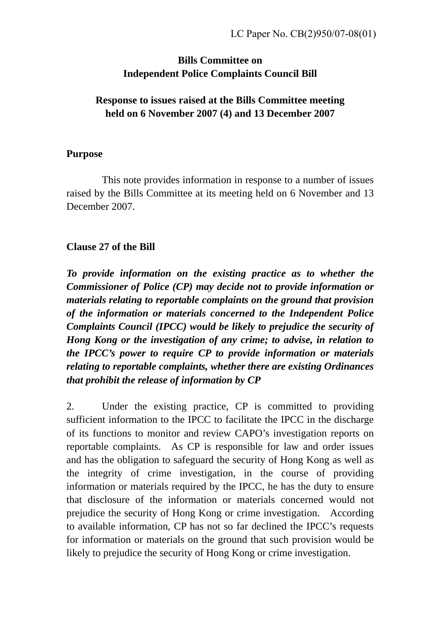## **Bills Committee on Independent Police Complaints Council Bill**

## **Response to issues raised at the Bills Committee meeting held on 6 November 2007 (4) and 13 December 2007**

#### **Purpose**

 This note provides information in response to a number of issues raised by the Bills Committee at its meeting held on 6 November and 13 December 2007.

## **Clause 27 of the Bill**

*To provide information on the existing practice as to whether the Commissioner of Police (CP) may decide not to provide information or materials relating to reportable complaints on the ground that provision of the information or materials concerned to the Independent Police Complaints Council (IPCC) would be likely to prejudice the security of Hong Kong or the investigation of any crime; to advise, in relation to the IPCC's power to require CP to provide information or materials relating to reportable complaints, whether there are existing Ordinances that prohibit the release of information by CP* 

2. Under the existing practice, CP is committed to providing sufficient information to the IPCC to facilitate the IPCC in the discharge of its functions to monitor and review CAPO's investigation reports on reportable complaints. As CP is responsible for law and order issues and has the obligation to safeguard the security of Hong Kong as well as the integrity of crime investigation, in the course of providing information or materials required by the IPCC, he has the duty to ensure that disclosure of the information or materials concerned would not prejudice the security of Hong Kong or crime investigation. According to available information, CP has not so far declined the IPCC's requests for information or materials on the ground that such provision would be likely to prejudice the security of Hong Kong or crime investigation.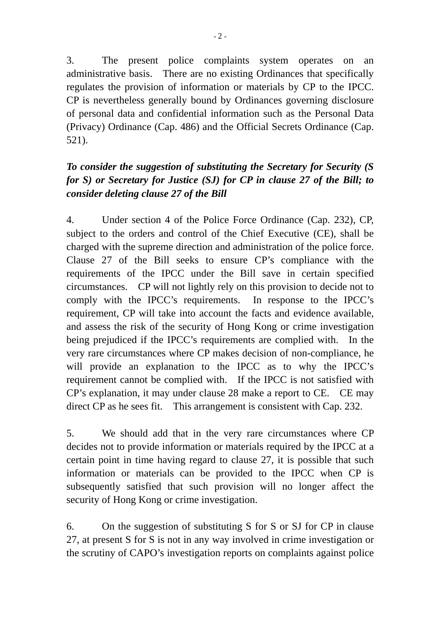3. The present police complaints system operates on an administrative basis. There are no existing Ordinances that specifically regulates the provision of information or materials by CP to the IPCC. CP is nevertheless generally bound by Ordinances governing disclosure of personal data and confidential information such as the Personal Data (Privacy) Ordinance (Cap. 486) and the Official Secrets Ordinance (Cap. 521).

# *To consider the suggestion of substituting the Secretary for Security (S for S) or Secretary for Justice (SJ) for CP in clause 27 of the Bill; to consider deleting clause 27 of the Bill*

4. Under section 4 of the Police Force Ordinance (Cap. 232), CP, subject to the orders and control of the Chief Executive (CE), shall be charged with the supreme direction and administration of the police force. Clause 27 of the Bill seeks to ensure CP's compliance with the requirements of the IPCC under the Bill save in certain specified circumstances. CP will not lightly rely on this provision to decide not to comply with the IPCC's requirements. In response to the IPCC's requirement, CP will take into account the facts and evidence available, and assess the risk of the security of Hong Kong or crime investigation being prejudiced if the IPCC's requirements are complied with. In the very rare circumstances where CP makes decision of non-compliance, he will provide an explanation to the IPCC as to why the IPCC's requirement cannot be complied with. If the IPCC is not satisfied with CP's explanation, it may under clause 28 make a report to CE. CE may direct CP as he sees fit. This arrangement is consistent with Cap. 232.

5. We should add that in the very rare circumstances where CP decides not to provide information or materials required by the IPCC at a certain point in time having regard to clause 27, it is possible that such information or materials can be provided to the IPCC when CP is subsequently satisfied that such provision will no longer affect the security of Hong Kong or crime investigation.

6. On the suggestion of substituting S for S or SJ for CP in clause 27, at present S for S is not in any way involved in crime investigation or the scrutiny of CAPO's investigation reports on complaints against police